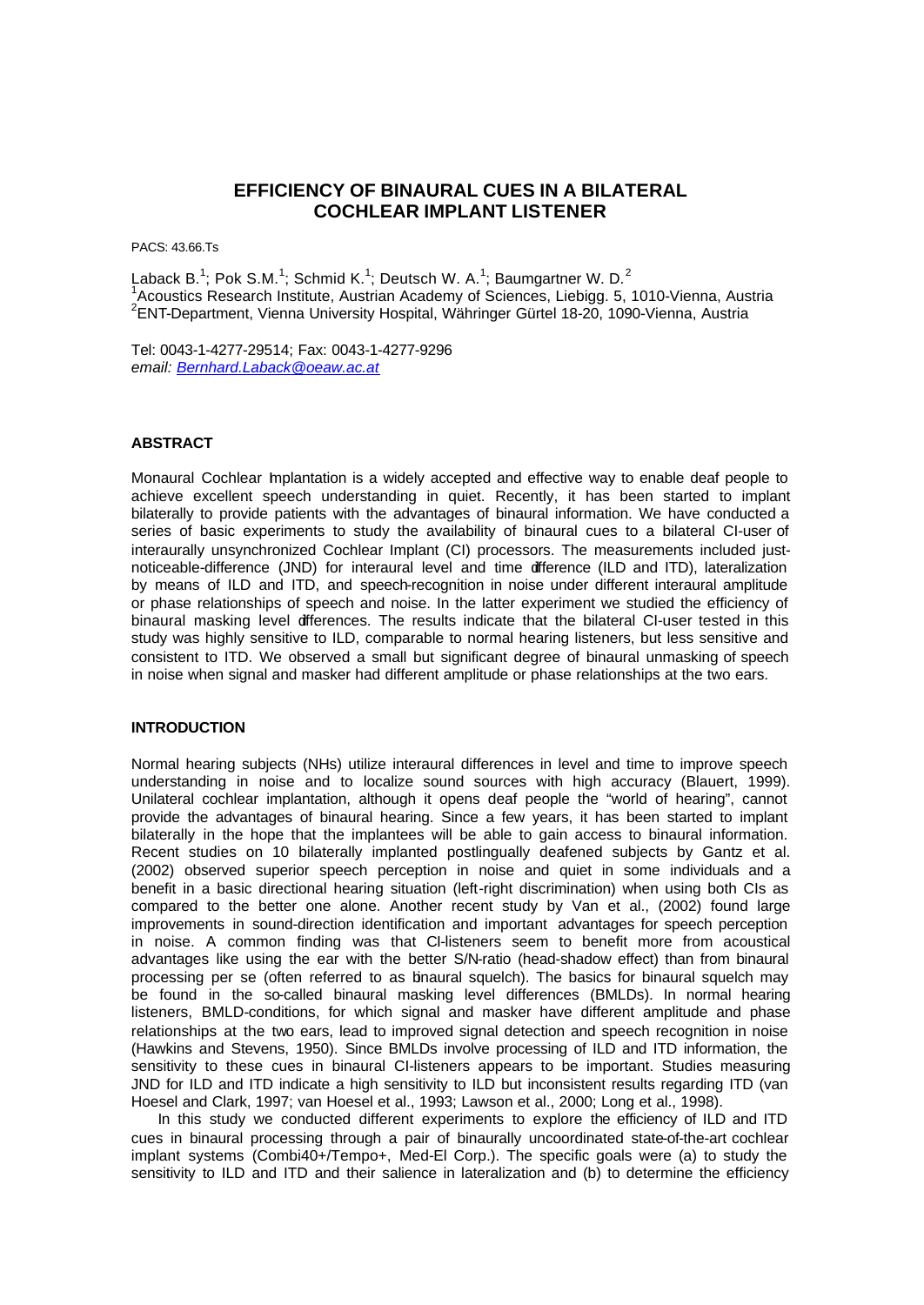# **EFFICIENCY OF BINAURAL CUES IN A BILATERAL COCHLEAR IMPLANT LISTENER**

PACS: 43.66.Ts

Laback B.<sup>1</sup>; Pok S.M.<sup>1</sup>; Schmid K.<sup>1</sup>; Deutsch W. A.<sup>1</sup>; Baumgartner W. D.<sup>2</sup> 1 Acoustics Research Institute, Austrian Academy of Sciences, Liebigg. 5, 1010-Vienna, Austria 2 ENT-Department, Vienna University Hospital, Währinger Gürtel 18-20, 1090-Vienna, Austria

Tel: 0043-1-4277-29514; Fax: 0043-1-4277-9296 *email: Bernhard.Laback@oeaw.ac.at*

#### **ABSTRACT**

Monaural Cochlear Implantation is a widely accepted and effective way to enable deaf people to achieve excellent speech understanding in quiet. Recently, it has been started to implant bilaterally to provide patients with the advantages of binaural information. We have conducted a series of basic experiments to study the availability of binaural cues to a bilateral CI-user of interaurally unsynchronized Cochlear Implant (CI) processors. The measurements included justnoticeable-difference (JND) for interaural level and time difference (ILD and ITD), lateralization by means of ILD and ITD, and speech-recognition in noise under different interaural amplitude or phase relationships of speech and noise. In the latter experiment we studied the efficiency of binaural masking level differences. The results indicate that the bilateral CI-user tested in this study was highly sensitive to ILD, comparable to normal hearing listeners, but less sensitive and consistent to ITD. We observed a small but significant degree of binaural unmasking of speech in noise when signal and masker had different amplitude or phase relationships at the two ears.

# **INTRODUCTION**

Normal hearing subjects (NHs) utilize interaural differences in level and time to improve speech understanding in noise and to localize sound sources with high accuracy (Blauert, 1999). Unilateral cochlear implantation, although it opens deaf people the "world of hearing", cannot provide the advantages of binaural hearing. Since a few years, it has been started to implant bilaterally in the hope that the implantees will be able to gain access to binaural information. Recent studies on 10 bilaterally implanted postlingually deafened subjects by Gantz et al. (2002) observed superior speech perception in noise and quiet in some individuals and a benefit in a basic directional hearing situation (left-right discrimination) when using both CIs as compared to the better one alone. Another recent study by Van et al., (2002) found large improvements in sound-direction identification and important advantages for speech perception in noise. A common finding was that CI-listeners seem to benefit more from acoustical advantages like using the ear with the better S/N-ratio (head-shadow effect) than from binaural processing per se (often referred to as binaural squelch). The basics for binaural squelch may be found in the so-called binaural masking level differences (BMLDs). In normal hearing listeners, BMLD-conditions, for which signal and masker have different amplitude and phase relationships at the two ears, lead to improved signal detection and speech recognition in noise (Hawkins and Stevens, 1950). Since BMLDs involve processing of ILD and ITD information, the sensitivity to these cues in binaural CI-listeners appears to be important. Studies measuring JND for ILD and ITD indicate a high sensitivity to ILD but inconsistent results regarding ITD (van Hoesel and Clark, 1997; van Hoesel et al., 1993; Lawson et al., 2000; Long et al., 1998).

In this study we conducted different experiments to explore the efficiency of ILD and ITD cues in binaural processing through a pair of binaurally uncoordinated state-of-the-art cochlear implant systems (Combi40+/Tempo+, Med-El Corp.). The specific goals were (a) to study the sensitivity to ILD and ITD and their salience in lateralization and (b) to determine the efficiency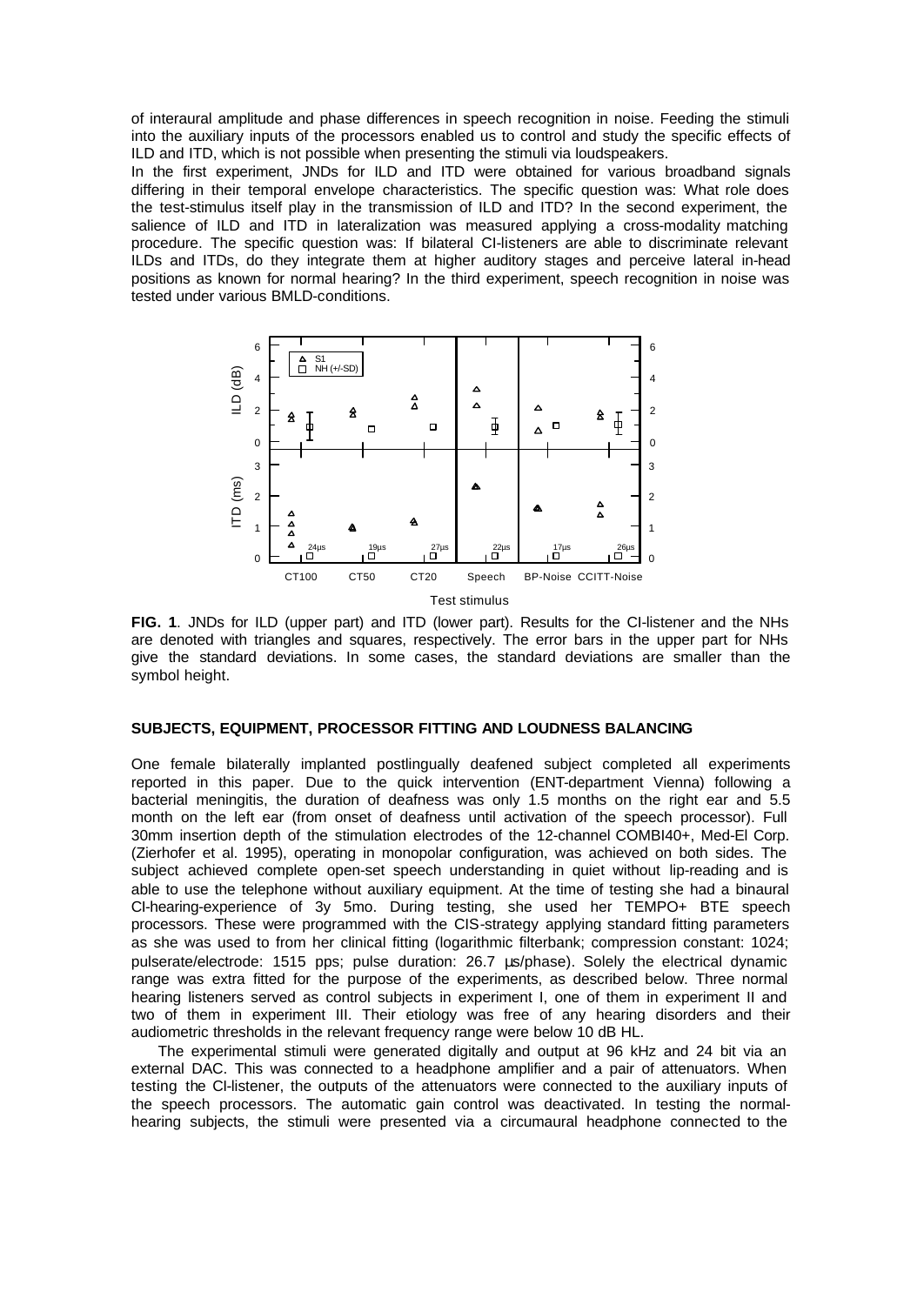of interaural amplitude and phase differences in speech recognition in noise. Feeding the stimuli into the auxiliary inputs of the processors enabled us to control and study the specific effects of ILD and ITD, which is not possible when presenting the stimuli via loudspeakers.

In the first experiment, JNDs for ILD and ITD were obtained for various broadband signals differing in their temporal envelope characteristics. The specific question was: What role does the test-stimulus itself play in the transmission of ILD and ITD? In the second experiment, the salience of ILD and ITD in lateralization was measured applying a cross-modality matching procedure. The specific question was: If bilateral CI-listeners are able to discriminate relevant ILDs and ITDs, do they integrate them at higher auditory stages and perceive lateral in-head positions as known for normal hearing? In the third experiment, speech recognition in noise was tested under various BMLD-conditions.



**FIG. 1**. JNDs for ILD (upper part) and ITD (lower part). Results for the CI-listener and the NHs are denoted with triangles and squares, respectively. The error bars in the upper part for NHs give the standard deviations. In some cases, the standard deviations are smaller than the symbol height.

#### **SUBJECTS, EQUIPMENT, PROCESSOR FITTING AND LOUDNESS BALANCING**

One female bilaterally implanted postlingually deafened subject completed all experiments reported in this paper. Due to the quick intervention (ENT-department Vienna) following a bacterial meningitis, the duration of deafness was only 1.5 months on the right ear and 5.5 month on the left ear (from onset of deafness until activation of the speech processor). Full 30mm insertion depth of the stimulation electrodes of the 12-channel COMBI40+, Med-El Corp. (Zierhofer et al. 1995), operating in monopolar configuration, was achieved on both sides. The subject achieved complete open-set speech understanding in quiet without lip-reading and is able to use the telephone without auxiliary equipment. At the time of testing she had a binaural CI-hearing-experience of 3y 5mo. During testing, she used her TEMPO+ BTE speech processors. These were programmed with the CIS-strategy applying standard fitting parameters as she was used to from her clinical fitting (logarithmic filterbank; compression constant: 1024; pulserate/electrode: 1515 pps; pulse duration: 26.7 μs/phase). Solely the electrical dynamic range was extra fitted for the purpose of the experiments, as described below. Three normal hearing listeners served as control subjects in experiment I, one of them in experiment II and two of them in experiment III. Their etiology was free of any hearing disorders and their audiometric thresholds in the relevant frequency range were below 10 dB HL.

The experimental stimuli were generated digitally and output at 96 kHz and 24 bit via an external DAC. This was connected to a headphone amplifier and a pair of attenuators. When testing the CI-listener, the outputs of the attenuators were connected to the auxiliary inputs of the speech processors. The automatic gain control was deactivated. In testing the normalhearing subjects, the stimuli were presented via a circumaural headphone connected to the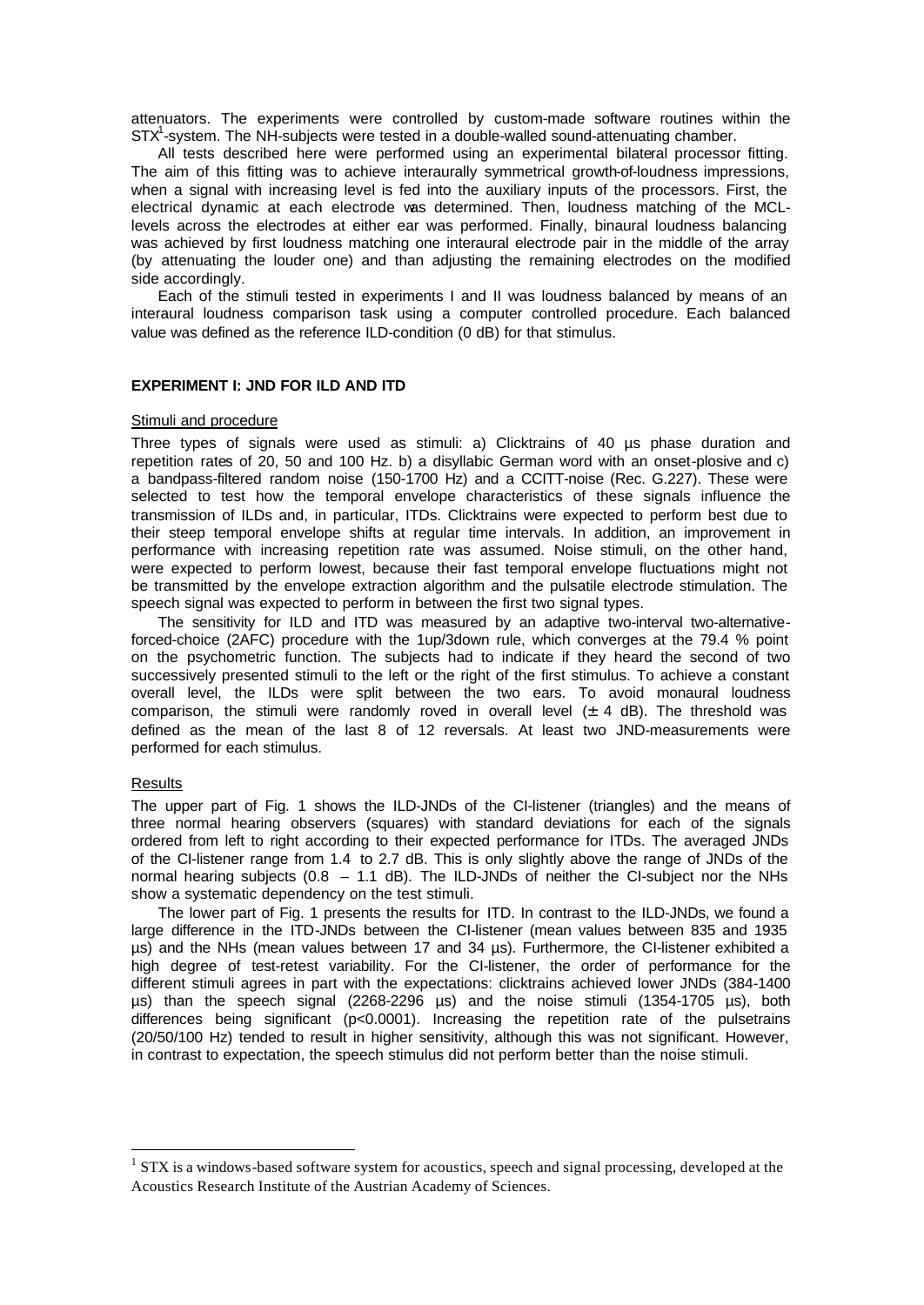attenuators. The experiments were controlled by custom-made software routines within the STX<sup>1</sup>-system. The NH-subjects were tested in a double-walled sound-attenuating chamber.

All tests described here were performed using an experimental bilateral processor fitting. The aim of this fitting was to achieve interaurally symmetrical growth-of-loudness impressions, when a signal with increasing level is fed into the auxiliary inputs of the processors. First, the electrical dynamic at each electrode was determined. Then, loudness matching of the MCLlevels across the electrodes at either ear was performed. Finally, binaural loudness balancing was achieved by first loudness matching one interaural electrode pair in the middle of the array (by attenuating the louder one) and than adjusting the remaining electrodes on the modified side accordingly.

Each of the stimuli tested in experiments I and II was loudness balanced by means of an interaural loudness comparison task using a computer controlled procedure. Each balanced value was defined as the reference ILD-condition (0 dB) for that stimulus.

## **EXPERIMENT I: JND FOR ILD AND ITD**

#### Stimuli and procedure

Three types of signals were used as stimuli: a) Clicktrains of 40 µs phase duration and repetition rates of 20, 50 and 100 Hz. b) a disyllabic German word with an onset-plosive and c) a bandpass-filtered random noise (150-1700 Hz) and a CCITT-noise (Rec. G.227). These were selected to test how the temporal envelope characteristics of these signals influence the transmission of ILDs and, in particular, ITDs. Clicktrains were expected to perform best due to their steep temporal envelope shifts at regular time intervals. In addition, an improvement in performance with increasing repetition rate was assumed. Noise stimuli, on the other hand, were expected to perform lowest, because their fast temporal envelope fluctuations might not be transmitted by the envelope extraction algorithm and the pulsatile electrode stimulation. The speech signal was expected to perform in between the first two signal types.

The sensitivity for ILD and ITD was measured by an adaptive two-interval two-alternativeforced-choice (2AFC) procedure with the 1up/3down rule, which converges at the 79.4 % point on the psychometric function. The subjects had to indicate if they heard the second of two successively presented stimuli to the left or the right of the first stimulus. To achieve a constant overall level, the ILDs were split between the two ears. To avoid monaural loudness comparison, the stimuli were randomly roved in overall level  $(\pm 4$  dB). The threshold was defined as the mean of the last 8 of 12 reversals. At least two JND-measurements were performed for each stimulus.

#### **Results**

l

The upper part of Fig. 1 shows the ILD-JNDs of the CI-listener (triangles) and the means of three normal hearing observers (squares) with standard deviations for each of the signals ordered from left to right according to their expected performance for ITDs. The averaged JNDs of the CI-listener range from 1.4 to 2.7 dB. This is only slightly above the range of JNDs of the normal hearing subjects (0.8 – 1.1 dB). The ILD-JNDs of neither the CI-subject nor the NHs show a systematic dependency on the test stimuli.

The lower part of Fig. 1 presents the results for ITD. In contrast to the ILD-JNDs, we found a large difference in the ITD-JNDs between the CI-listener (mean values between 835 and 1935 µs) and the NHs (mean values between 17 and 34 µs). Furthermore, the CI-listener exhibited a high degree of test-retest variability. For the CI-listener, the order of performance for the different stimuli agrees in part with the expectations: clicktrains achieved lower JNDs (384-1400 µs) than the speech signal (2268-2296 µs) and the noise stimuli (1354-1705 µs), both differences being significant (p<0.0001). Increasing the repetition rate of the pulsetrains (20/50/100 Hz) tended to result in higher sensitivity, although this was not significant. However, in contrast to expectation, the speech stimulus did not perform better than the noise stimuli.

 $1$  STX is a windows-based software system for acoustics, speech and signal processing, developed at the Acoustics Research Institute of the Austrian Academy of Sciences.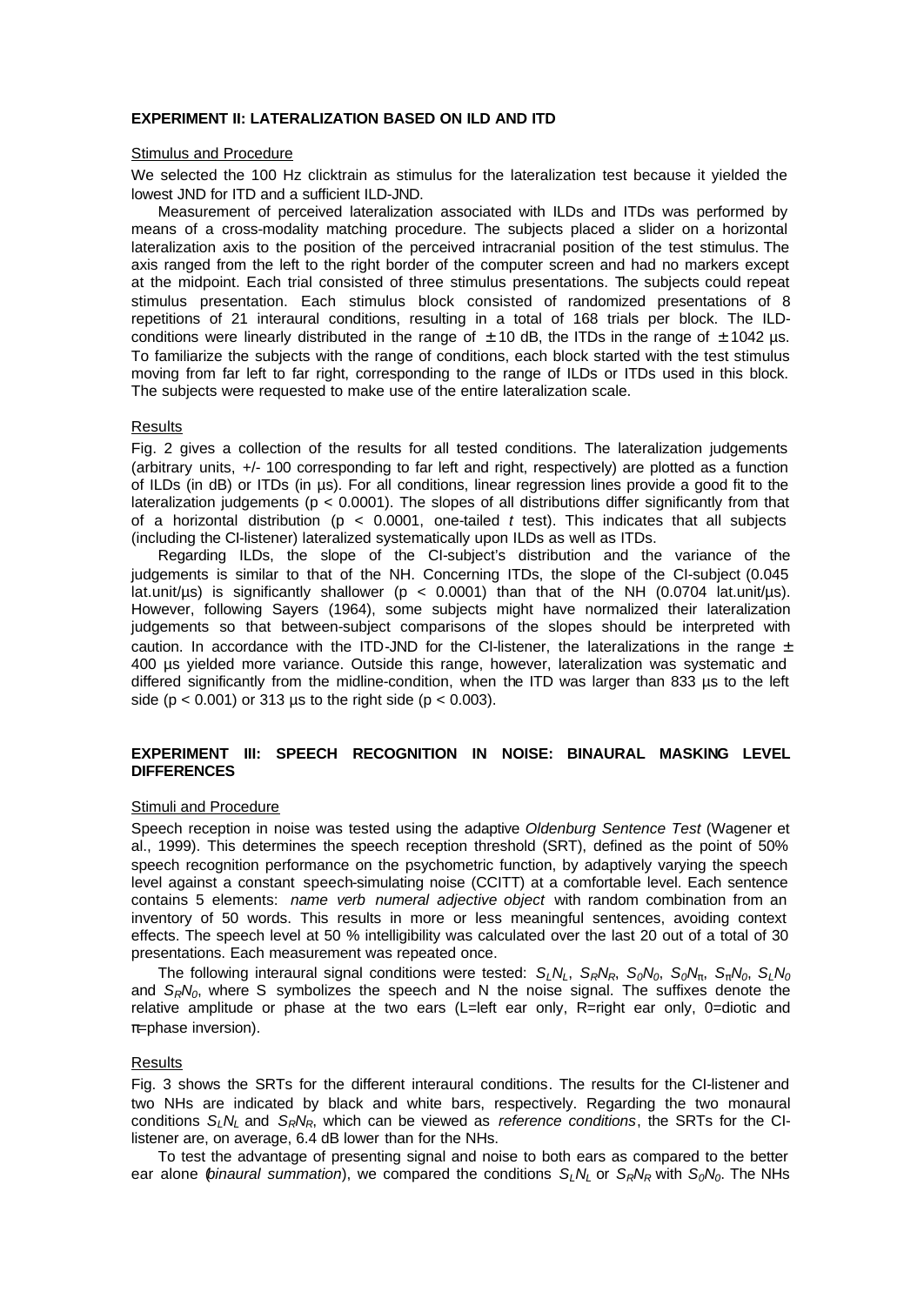### **EXPERIMENT II: LATERALIZATION BASED ON ILD AND ITD**

### Stimulus and Procedure

We selected the 100 Hz clicktrain as stimulus for the lateralization test because it yielded the lowest JND for ITD and a sufficient ILD-JND.

Measurement of perceived lateralization associated with ILDs and ITDs was performed by means of a cross-modality matching procedure. The subjects placed a slider on a horizontal lateralization axis to the position of the perceived intracranial position of the test stimulus. The axis ranged from the left to the right border of the computer screen and had no markers except at the midpoint. Each trial consisted of three stimulus presentations. The subjects could repeat stimulus presentation. Each stimulus block consisted of randomized presentations of 8 repetitions of 21 interaural conditions, resulting in a total of 168 trials per block. The ILDconditions were linearly distributed in the range of  $\pm$  10 dB, the ITDs in the range of  $\pm$  1042 µs. To familiarize the subjects with the range of conditions, each block started with the test stimulus moving from far left to far right, corresponding to the range of ILDs or ITDs used in this block. The subjects were requested to make use of the entire lateralization scale.

#### **Results**

Fig. 2 gives a collection of the results for all tested conditions. The lateralization judgements (arbitrary units, +/- 100 corresponding to far left and right, respectively) are plotted as a function of ILDs (in dB) or ITDs (in µs). For all conditions, linear regression lines provide a good fit to the lateralization judgements ( $p < 0.0001$ ). The slopes of all distributions differ significantly from that of a horizontal distribution (p < 0.0001, one-tailed *t* test). This indicates that all subjects (including the CI-listener) lateralized systematically upon ILDs as well as ITDs.

Regarding ILDs, the slope of the CI-subject's distribution and the variance of the judgements is similar to that of the NH. Concerning ITDs, the slope of the CI-subject (0.045 lat.unit/µs) is significantly shallower ( $p < 0.0001$ ) than that of the NH (0.0704 lat.unit/µs). However, following Sayers (1964), some subjects might have normalized their lateralization judgements so that between-subject comparisons of the slopes should be interpreted with caution. In accordance with the ITD-JND for the CI-listener, the lateralizations in the range  $\pm$ 400 µs yielded more variance. Outside this range, however, lateralization was systematic and differed significantly from the midline-condition, when the ITD was larger than 833 µs to the left side ( $p < 0.001$ ) or 313 us to the right side ( $p < 0.003$ ).

# **EXPERIMENT III: SPEECH RECOGNITION IN NOISE: BINAURAL MASKING LEVEL DIFFERENCES**

#### Stimuli and Procedure

Speech reception in noise was tested using the adaptive *Oldenburg Sentence Test* (Wagener et al., 1999). This determines the speech reception threshold (SRT), defined as the point of 50% speech recognition performance on the psychometric function, by adaptively varying the speech level against a constant speech-simulating noise (CCITT) at a comfortable level. Each sentence contains 5 elements: *name verb numeral adjective object* with random combination from an inventory of 50 words. This results in more or less meaningful sentences, avoiding context effects. The speech level at 50 % intelligibility was calculated over the last 20 out of a total of 30 presentations. Each measurement was repeated once.

The following interaural signal conditions were tested:  $S_LN_L$ ,  $S_RN_R$ ,  $S_0N_0$ ,  $S_0N_p$ ,  $S_pN_0$ ,  $S_LN_0$ and *SRN0*, where S symbolizes the speech and N the noise signal. The suffixes denote the relative amplitude or phase at the two ears (L=left ear only, R=right ear only, 0=diotic and π=phase inversion).

# Results

Fig. 3 shows the SRTs for the different interaural conditions. The results for the CI-listener and two NHs are indicated by black and white bars, respectively. Regarding the two monaural conditions *SLNL* and *SRNR*, which can be viewed as *reference conditions*, the SRTs for the CIlistener are, on average, 6.4 dB lower than for the NHs.

To test the advantage of presenting signal and noise to both ears as compared to the better ear alone (*binaural summation*), we compared the conditions *SLNL* or *SRNR* with *S0N0*. The NHs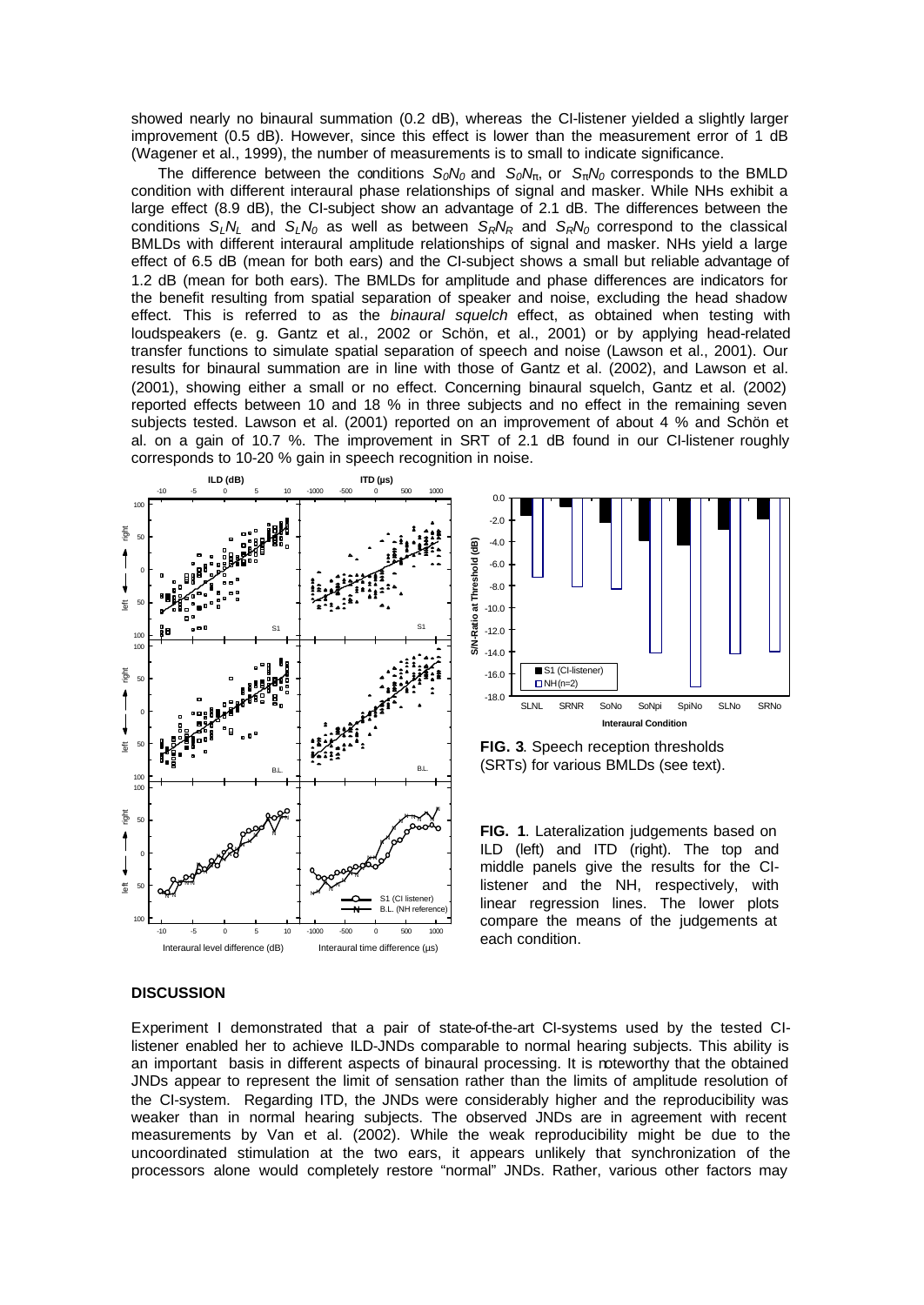showed nearly no binaural summation (0.2 dB), whereas the CI-listener yielded a slightly larger improvement (0.5 dB). However, since this effect is lower than the measurement error of 1 dB (Wagener et al., 1999), the number of measurements is to small to indicate significance.

The difference between the conditions  $S_0N_0$  and  $S_0N_p$ , or  $S_pN_0$  corresponds to the BMLD condition with different interaural phase relationships of signal and masker. While NHs exhibit a large effect (8.9 dB), the CI-subject show an advantage of 2.1 dB. The differences between the conditions  $S_L N_L$  and  $S_L N_0$  as well as between  $S_R N_R$  and  $S_R N_0$  correspond to the classical BMLDs with different interaural amplitude relationships of signal and masker. NHs yield a large effect of 6.5 dB (mean for both ears) and the CI-subject shows a small but reliable advantage of 1.2 dB (mean for both ears). The BMLDs for amplitude and phase differences are indicators for the benefit resulting from spatial separation of speaker and noise, excluding the head shadow effect. This is referred to as the *binaural squelch* effect, as obtained when testing with loudspeakers (e. g. Gantz et al., 2002 or Schön, et al., 2001) or by applying head-related transfer functions to simulate spatial separation of speech and noise (Lawson et al., 2001). Our results for binaural summation are in line with those of Gantz et al. (2002), and Lawson et al. (2001), showing either a small or no effect. Concerning binaural squelch, Gantz et al. (2002) reported effects between 10 and 18 % in three subjects and no effect in the remaining seven subjects tested. Lawson et al. (2001) reported on an improvement of about 4 % and Schön et al. on a gain of 10.7 %. The improvement in SRT of 2.1 dB found in our CI-listener roughly corresponds to 10-20 % gain in speech recognition in noise.





**FIG. 3**. Speech reception thresholds (SRTs) for various BMLDs (see text).

**FIG. 1**. Lateralization judgements based on ILD (left) and ITD (right). The top and middle panels give the results for the CIlistener and the NH, respectively, with linear regression lines. The lower plots compare the means of the judgements at each condition.

# **DISCUSSION**

Experiment I demonstrated that a pair of state-of-the-art CI-systems used by the tested CIlistener enabled her to achieve ILD-JNDs comparable to normal hearing subjects. This ability is an important basis in different aspects of binaural processing. It is noteworthy that the obtained JNDs appear to represent the limit of sensation rather than the limits of amplitude resolution of the CI-system. Regarding ITD, the JNDs were considerably higher and the reproducibility was weaker than in normal hearing subjects. The observed JNDs are in agreement with recent measurements by Van et al. (2002). While the weak reproducibility might be due to the uncoordinated stimulation at the two ears, it appears unlikely that synchronization of the processors alone would completely restore "normal" JNDs. Rather, various other factors may